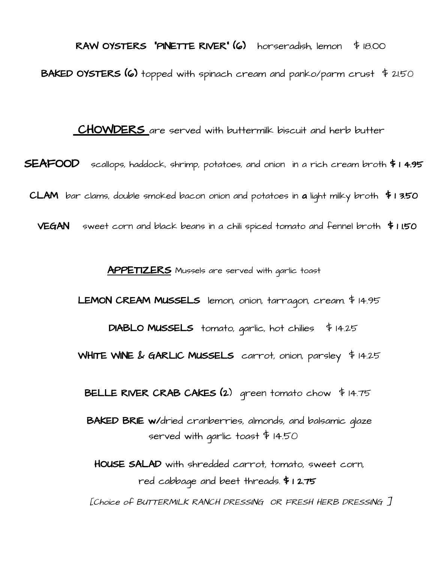RAW OYSTERS "PINETTE RIVER" (6) horseradish, lemon \$ 18.OO **BAKED OYSTERS (6)** topped with spinach cream and panko/parm crust  $\frac{4}{3}$  21.50

**CHOWDERS** are served with buttermilk biscuit and herb butter

SEAFOOD scallops, haddock, shrimp, potatoes, and onion in a rich cream broth \$ 1 4.95 CLAM bar clams, double smoked bacon onion and potatoes in a light milky broth  $\overline{\ast}$  1 3.50

**VEGAN** sweet corn and black beans in a chili spiced tomato and fennel broth  $\overline{\ast}$  1 1.50

**APPETIZERS** Mussels are served with garlic toast

LEMON CREAM MUSSELS lemon, onion, tarragon, cream. \$ 14.95

DIABLO MUSSELS tomato, garlic, hot chilies  $\frac{4}{7}$  14.25

WHITE WINE & GARLIC MUSSELS carrot, onion, parsley \$14.25

BELLE RIVER CRAB CAKES  $(2)$  green tomato chow \$14.75

BAKED BRIE w/dried cranberries, almonds, and balsamic glaze served with garlic toast \$ 14.50

HOUSE SALAD with shredded carrot, tomato, sweet corn, red cabbage and beet threads. \$ 1 2.75

[Choice of BUTTERMILK RANCH DRESSING OR FRESH HERB DRESSING ]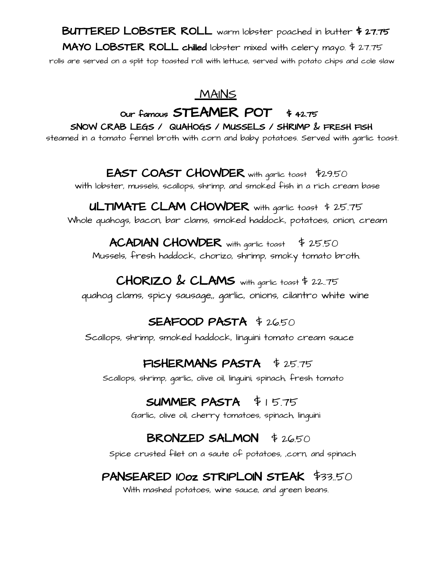## BUTTERED LOBSTER ROLL warm lobster poached in butter \$ 27.75 MAYO LOBSTER ROLL chilled lobster mixed with celery mayo. \$ 27.75 rolls are served on a split top toasted roll with lettuce, served with potato chips and cole slaw

#### **MAINS**

## Our famous **STEAMER** POT \$ 42.75

SNOW CRAB LEGS / QUAHOGS / MUSSELS / SHRIMP & FRESH FISH steamed in a tomato fennel broth with corn and baby potatoes. Served with garlic toast.

## EAST COAST CHOWDER with garlic toast \$29.50

with lobster, mussels, scallops, shrimp, and smoked fish in a rich cream base

#### ULTIMATE CLAM CHOWDER with garlic toast \$25.75 Whole quahogs, bacon, bar clams, smoked haddock, potatoes, onion, cream

# **ACADIAN CHOWDER** with garlic toast  $\frac{4}{5}$  25.50

Mussels, fresh haddock, chorizo, shrimp, smoky tomato broth.

## $CHORIZO \& CLAMS$  with garlic toast \$ 22.75

quahog clams, spicy sausage,, garlic, onions, cilantro white wine

#### SEAFOOD PASTA \$ 26.50

Scallops, shrimp, smoked haddock, linguini tomato cream sauce

## FISHERMANS PASTA \$25.75

Scallops, shrimp, garlic, olive oil, linguini, spinach, fresh tomato

## SUMMER PASTA  $$15.75$

Garlic, olive oil, cherry tomatoes, spinach, linguini

## BRONZED SALMON \$2650

Spice crusted filet on a saute of potatoes, ,corn, and spinach

## PANSEARED 10oz STRIPLOIN STEAK \$33..50

With mashed potatoes, wine sauce, and green beans.